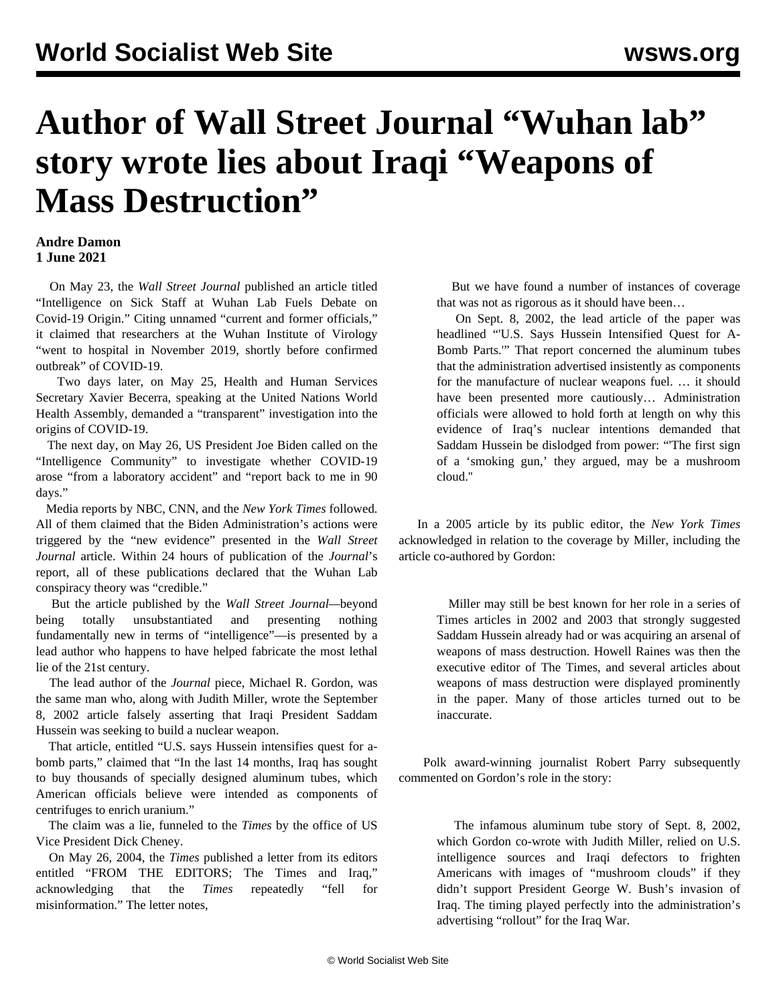## **Author of Wall Street Journal "Wuhan lab" story wrote lies about Iraqi "Weapons of Mass Destruction"**

## **Andre Damon 1 June 2021**

 On May 23, the *Wall Street Journal* published an article titled "[Intelligence on Sick Staff at Wuhan Lab Fuels Debate on](https://www.wsj.com/articles/intelligence-on-sick-staff-at-wuhan-lab-fuels-debate-on-covid-19-origin-11621796228) [Covid-19 Origin](https://www.wsj.com/articles/intelligence-on-sick-staff-at-wuhan-lab-fuels-debate-on-covid-19-origin-11621796228)." Citing unnamed "current and former officials," it claimed that researchers at the Wuhan Institute of Virology "went to hospital in November 2019, shortly before confirmed outbreak" of COVID-19.

 Two days later, on May 25, Health and Human Services Secretary Xavier Becerra, speaking at the United Nations World Health Assembly, [demanded](https://www.hhs.gov/about/news/2021/05/25/secretary-becerra-delivers-remarks-74th-world-health-assembly.html) a "transparent" investigation into the origins of COVID-19.

 The next day, on May 26, US President Joe Biden [called on](https://www.whitehouse.gov/briefing-room/statements-releases/2021/05/26/statement-by-president-joe-biden-on-the-investigation-into-the-origins-of-covid-19/) the "Intelligence Community" to investigate whether COVID-19 arose "from a laboratory accident" and "report back to me in 90 days."

 Media reports by NBC, CNN, and the *New York Times* followed. All of them claimed that the Biden Administration's actions were triggered by the "new evidence" presented in the *Wall Street Journal* article. Within 24 hours of publication of the *Journal*'s report, all of these publications declared that the Wuhan Lab conspiracy theory was "credible."

 But the article published by the *Wall Street Journal—*beyond being totally unsubstantiated and presenting nothing fundamentally new in terms of "intelligence"—is presented by a lead author who happens to have helped fabricate the most lethal lie of the 21st century.

 The lead author of the *Journal* piece, Michael R. Gordon, was the same man who, along with Judith Miller, wrote the September 8, 2002 article falsely asserting that Iraqi President Saddam Hussein was seeking to build a nuclear weapon.

 That article, entitled "[U.S. says Hussein intensifies quest for a](https://www.nytimes.com/2002/09/08/world/threats-responses-iraqis-us-says-hussein-intensifies-quest-for-bomb-parts.html)[bomb parts,](https://www.nytimes.com/2002/09/08/world/threats-responses-iraqis-us-says-hussein-intensifies-quest-for-bomb-parts.html)" claimed that "In the last 14 months, Iraq has sought to buy thousands of specially designed aluminum tubes, which American officials believe were intended as components of centrifuges to enrich uranium."

 The claim was a lie, funneled to the *Times* by the office of US Vice President Dick Cheney.

 On May 26, 2004, the *Times* published a letter from its editors entitled "[FROM THE EDITORS; The Times and Iraq,](https://www.nytimes.com/2004/05/26/world/from-the-editors-the-times-and-iraq.html)" acknowledging that the *Times* repeatedly "fell for misinformation." The letter notes,

 But we have found a number of instances of coverage that was not as rigorous as it should have been…

 On Sept. 8, 2002, the lead article of the paper was headlined "'U.S. Says Hussein Intensified Quest for A-Bomb Parts.'" That report concerned the aluminum tubes that the administration advertised insistently as components for the manufacture of nuclear weapons fuel. … it should have been presented more cautiously… Administration officials were allowed to hold forth at length on why this evidence of Iraq's nuclear intentions demanded that Saddam Hussein be dislodged from power: "'The first sign of a 'smoking gun,' they argued, may be a mushroom cloud.''

 In a 2005 [article](https://www.nytimes.com/2005/10/23/opinion/the-miller-mess-lingering-issues-among-the-answers.html) by its public editor, the *New York Times* acknowledged in relation to the coverage by Miller, including the article co-authored by Gordon:

> Miller may still be best known for her role in a series of Times articles in 2002 and 2003 that strongly suggested Saddam Hussein already had or was acquiring an arsenal of weapons of mass destruction. Howell Raines was then the executive editor of The Times, and several articles about weapons of mass destruction were displayed prominently in the paper. Many of those articles turned out to be inaccurate.

 Polk award-winning journalist Robert Parry subsequently [commented](https://consortiumnews.com/2014/04/21/another-nyt-michael-gordon-special/) on Gordon's role in the story:

> The infamous aluminum tube story of Sept. 8, 2002, which Gordon co-wrote with Judith Miller, relied on U.S. intelligence sources and Iraqi defectors to frighten Americans with images of "mushroom clouds" if they didn't support President George W. Bush's invasion of Iraq. The timing played perfectly into the administration's advertising "rollout" for the Iraq War.